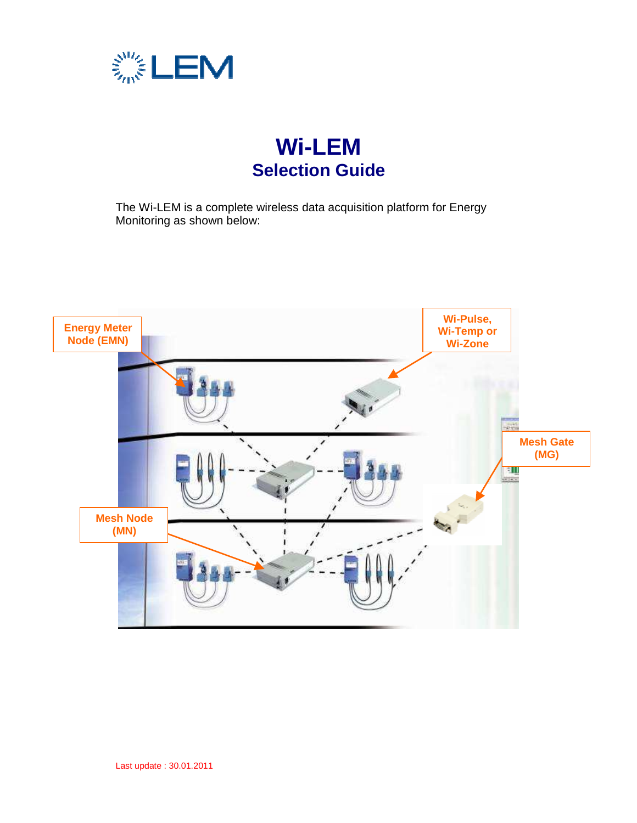

# **Wi-LEM Selection Guide**

The Wi-LEM is a complete wireless data acquisition platform for Energy Monitoring as shown below:

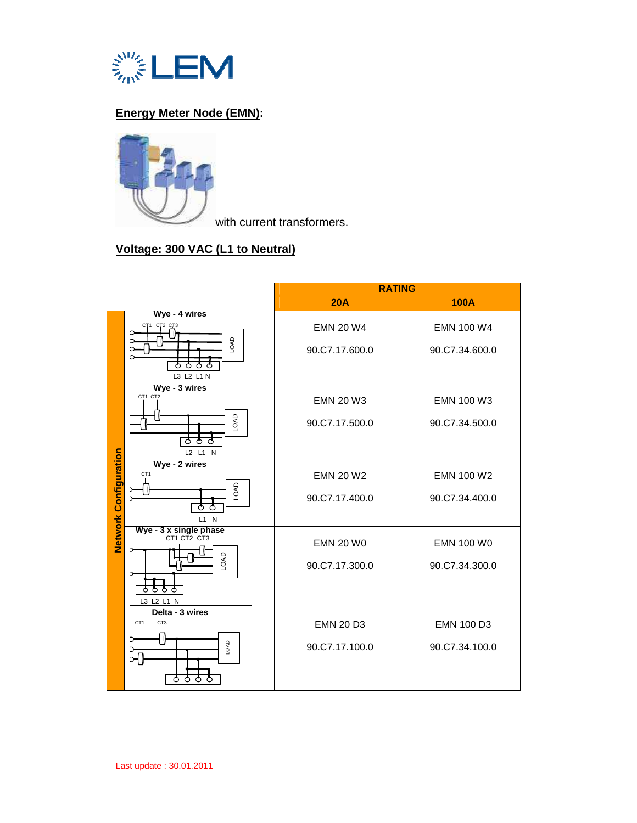

# **Energy Meter Node (EMN):**



with current transformers.

# **Voltage: 300 VAC (L1 to Neutral)**

|                              |                                                                                         | <b>RATING</b>                      |                                     |
|------------------------------|-----------------------------------------------------------------------------------------|------------------------------------|-------------------------------------|
|                              |                                                                                         | <b>20A</b>                         | <b>100A</b>                         |
|                              | Wye - 4 wires<br>СТ1 СТ2 СТ3<br>O.<br>LOAD<br>⌒<br>ਨ<br>Õ<br>ტ<br>L3 L2 L1 N            | <b>EMN 20 W4</b><br>90.C7.17.600.0 | <b>EMN 100 W4</b><br>90.C7.34.600.0 |
|                              | Wye - 3 wires<br>CT1 CT2<br>LOAD<br>ਠ<br>ਨ<br>Φ<br>L2 L1 N                              | <b>EMN 20 W3</b><br>90.C7.17.500.0 | EMN 100 W3<br>90.C7.34.500.0        |
| <b>Network Configuration</b> | Wye - 2 wires<br>CT <sub>1</sub><br>LOAD<br>ਨ<br>ტ<br>$L1$ N                            | <b>EMN 20 W2</b><br>90.C7.17.400.0 | EMN 100 W2<br>90.C7.34.400.0        |
|                              | Wye - 3 x single phase<br>CT1 CT2 CT3<br>LOAD<br>Ò<br>Ò<br>ტ<br>L3 L2 L1 N              | <b>EMN 20 W0</b><br>90.C7.17.300.0 | <b>EMN 100 W0</b><br>90.C7.34.300.0 |
|                              | Delta - 3 wires<br>CT <sub>1</sub><br>CT <sub>3</sub><br>Э<br>LOAD<br>C.<br>⊃<br>O<br>O | <b>EMN 20 D3</b><br>90.C7.17.100.0 | EMN 100 D3<br>90.C7.34.100.0        |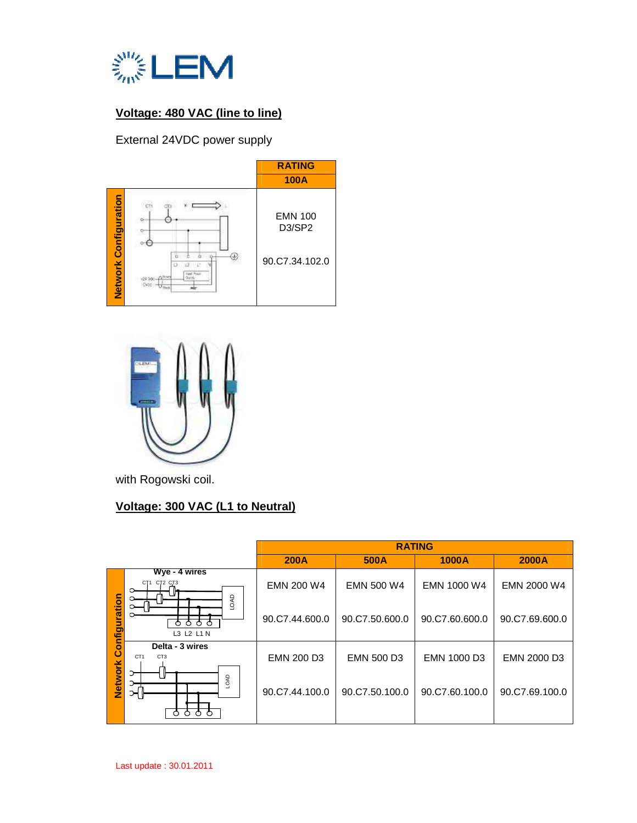

# **Voltage: 480 VAC (line to line)**

External 24VDC power supply





with Rogowski coil.

# **Voltage: 300 VAC (L1 to Neutral)**

|                |                                                                  | <b>RATING</b>                       |                                     |                               |                               |
|----------------|------------------------------------------------------------------|-------------------------------------|-------------------------------------|-------------------------------|-------------------------------|
|                |                                                                  | <b>200A</b>                         | 500A                                | <b>1000A</b>                  | 2000A                         |
| Configuration  | Wye - 4 wires<br><b>СТ1 СТ2 СТ3</b><br><b>DAD</b><br>Ô<br>◠<br>∩ | <b>EMN 200 W4</b><br>90.C7.44.600.0 | <b>EMN 500 W4</b><br>90.C7.50.600.0 | EMN 1000 W4<br>90.C7.60.600.0 | EMN 2000 W4<br>90.C7.69.600.0 |
|                | L3 L2 L1 N<br>Delta - 3 wires                                    |                                     |                                     |                               |                               |
|                | CT <sub>1</sub><br>CT <sub>3</sub>                               | <b>EMN 200 D3</b>                   | <b>EMN 500 D3</b>                   | EMN 1000 D3                   | EMN 2000 D3                   |
| <b>Network</b> | Э<br>LOAD<br>ઞ<br>₼<br>ൂ<br>்                                    | 90.C7.44.100.0                      | 90.C7.50.100.0                      | 90.C7.60.100.0                | 90.C7.69.100.0                |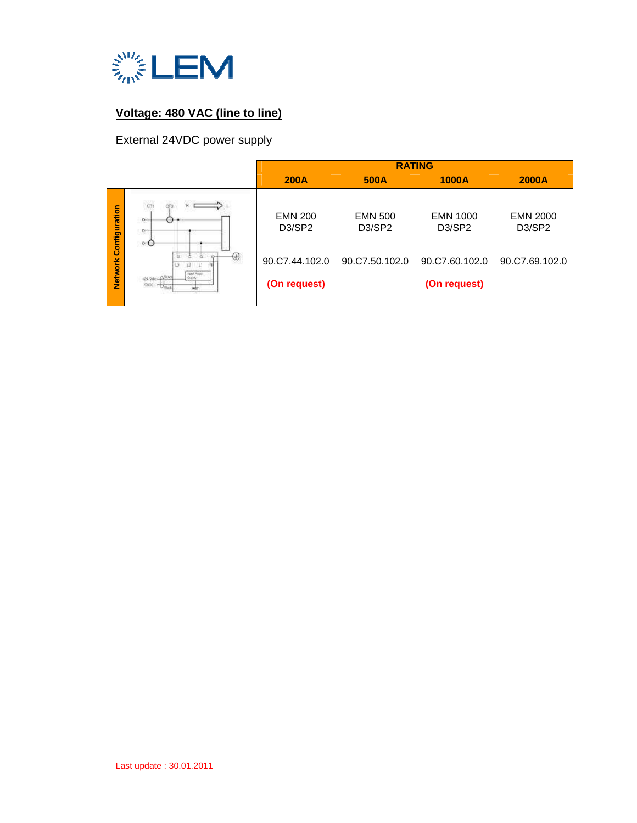

# **Voltage: 480 VAC (line to line)**

# External 24VDC power supply

|                |                                                                           | <b>RATING</b>                                     |                                                   |                                                    |                                                    |
|----------------|---------------------------------------------------------------------------|---------------------------------------------------|---------------------------------------------------|----------------------------------------------------|----------------------------------------------------|
|                |                                                                           | <b>200A</b>                                       | 500A                                              | <b>1000A</b>                                       | 2000A                                              |
| Configuration  | , es<br>$\mathbb{Q}^{\oplus r}$<br>$\sim$<br>$\circ \Theta$               | <b>EMN 200</b><br>D <sub>3</sub> /SP <sub>2</sub> | <b>EMN 500</b><br>D <sub>3</sub> /SP <sub>2</sub> | <b>EMN 1000</b><br>D <sub>3</sub> /SP <sub>2</sub> | <b>EMN 2000</b><br>D <sub>3</sub> /SP <sub>2</sub> |
| <b>Network</b> | ⊕                                                                         | 90.C7.44.102.0                                    | 90.C7.50.102.0                                    | 90.C7.60.102.0                                     | 90.C7.69.102.0                                     |
|                | Famil Picauli<br>Guido<br>22-200 FROM<br>0000<br>$\overline{\mathcal{F}}$ | (On request)                                      |                                                   | (On request)                                       |                                                    |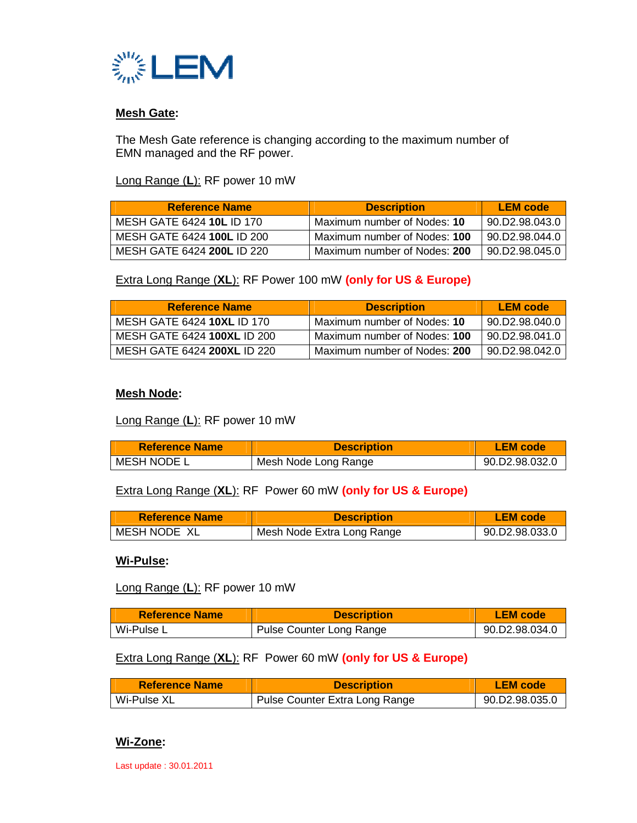

#### **Mesh Gate:**

The Mesh Gate reference is changing according to the maximum number of EMN managed and the RF power.

Long Range (**L**): RF power 10 mW

| <b>Reference Name</b>      | <b>Description</b>           | <b>LEM</b> code |
|----------------------------|------------------------------|-----------------|
| MESH GATE 6424 10L ID 170  | Maximum number of Nodes: 10  | 90.D2.98.043.0  |
| MESH GATE 6424 100L ID 200 | Maximum number of Nodes: 100 | 90.D2.98.044.0  |
| MESH GATE 6424 200L ID 220 | Maximum number of Nodes: 200 | 90.D2.98.045.0  |

Extra Long Range (**XL**): RF Power 100 mW **(only for US & Europe)**

| <b>Reference Name</b>       | <b>Description</b>           | <b>LEM</b> code |
|-----------------------------|------------------------------|-----------------|
| MESH GATE 6424 10XL ID 170  | Maximum number of Nodes: 10  | 90.D2.98.040.0  |
| MESH GATE 6424 100XL ID 200 | Maximum number of Nodes: 100 | 90.D2.98.041.0  |
| MESH GATE 6424 200XL ID 220 | Maximum number of Nodes: 200 | 90.D2.98.042.0  |

#### **Mesh Node:**

Long Range (**L**): RF power 10 mW

| <b>Reference Name</b> | <b>Description</b>   | <b>LEM</b> code |
|-----------------------|----------------------|-----------------|
| MESH NODE L           | Mesh Node Long Range | 90.D2.98.032.0  |

Extra Long Range (**XL**): RF Power 60 mW **(only for US & Europe)**

| <b>Reference Name</b> | <b>Description</b>         | <b>LEM</b> code |
|-----------------------|----------------------------|-----------------|
| MESH NODE XL          | Mesh Node Extra Long Range | 90 D2.98 033 0  |

**Wi-Pulse:**

Long Range (**L**): RF power 10 mW

| <b>Reference Name</b> | <b>Description</b>       | <b>LEM</b> code |
|-----------------------|--------------------------|-----------------|
| Wi-Pulse L            | Pulse Counter Long Range | 90.D2.98.034.0  |

Extra Long Range (**XL**): RF Power 60 mW **(only for US & Europe)**

| <b>Reference Name</b> | <b>Description</b>             | <b>LEM</b> code |
|-----------------------|--------------------------------|-----------------|
| Wi-Pulse XL           | Pulse Counter Extra Long Range | 90.D2.98.035.0  |

#### **Wi-Zone:**

Last update : 30.01.2011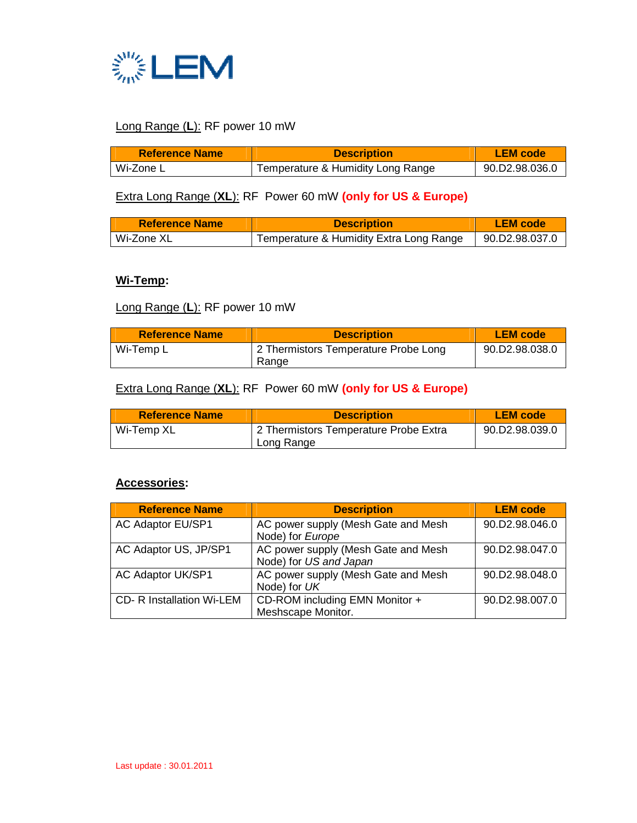

## Long Range (**L**): RF power 10 mW

| <b>Reference Name</b> | <b>Description</b>                | <b>LEM</b> code |
|-----------------------|-----------------------------------|-----------------|
| Wi-Zone L             | Temperature & Humidity Long Range | 90 D2.98.036.0  |

## Extra Long Range (**XL**): RF Power 60 mW **(only for US & Europe)**

| <b>Reference Name</b> | <b>Description</b>                      | <b>LEM</b> code        |
|-----------------------|-----------------------------------------|------------------------|
| Wi-Zone XL            | Temperature & Humidity Extra Long Range | $\vert$ 90.D2.98.037.0 |

#### **Wi-Temp:**

## Long Range (**L**): RF power 10 mW

| <b>Reference Name</b> | <b>Description</b>                            | <b>LEM</b> code |
|-----------------------|-----------------------------------------------|-----------------|
| Wi-Temp L             | 2 Thermistors Temperature Probe Long<br>Range | 90.D2.98.038.0  |

## Extra Long Range (**XL**): RF Power 60 mW **(only for US & Europe)**

| <b>Reference Name</b> | <b>Description</b>                                  | <b>LEM</b> code |
|-----------------------|-----------------------------------------------------|-----------------|
| Wi-Temp XL            | 2 Thermistors Temperature Probe Extra<br>Long Range | 90.D2.98.039.0  |

#### **Accessories:**

| <b>Reference Name</b>            | <b>Description</b>                                            | <b>LEM</b> code |
|----------------------------------|---------------------------------------------------------------|-----------------|
| <b>AC Adaptor EU/SP1</b>         | AC power supply (Mesh Gate and Mesh<br>Node) for Europe       | 90.D2.98.046.0  |
| AC Adaptor US, JP/SP1            | AC power supply (Mesh Gate and Mesh<br>Node) for US and Japan | 90.D2.98.047.0  |
| <b>AC Adaptor UK/SP1</b>         | AC power supply (Mesh Gate and Mesh<br>Node) for UK           | 90.D2.98.048.0  |
| <b>CD- R Installation Wi-LEM</b> | CD-ROM including EMN Monitor +<br>Meshscape Monitor.          | 90.D2.98.007.0  |